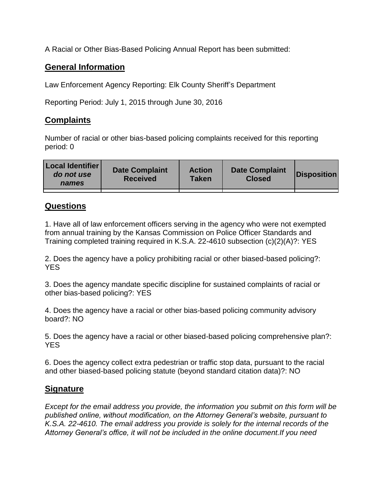A Racial or Other Bias-Based Policing Annual Report has been submitted:

## **General Information**

Law Enforcement Agency Reporting: Elk County Sheriff's Department

Reporting Period: July 1, 2015 through June 30, 2016

## **Complaints**

Number of racial or other bias-based policing complaints received for this reporting period: 0

| <b>Local Identifier</b><br>do not use<br>names | <b>Date Complaint</b><br><b>Received</b> | <b>Action</b><br><b>Taken</b> | <b>Date Complaint</b><br><b>Closed</b> | Disposition |
|------------------------------------------------|------------------------------------------|-------------------------------|----------------------------------------|-------------|
|                                                |                                          |                               |                                        |             |

## **Questions**

1. Have all of law enforcement officers serving in the agency who were not exempted from annual training by the Kansas Commission on Police Officer Standards and Training completed training required in K.S.A. 22-4610 subsection (c)(2)(A)?: YES

2. Does the agency have a policy prohibiting racial or other biased-based policing?: YES

3. Does the agency mandate specific discipline for sustained complaints of racial or other bias-based policing?: YES

4. Does the agency have a racial or other bias-based policing community advisory board?: NO

5. Does the agency have a racial or other biased-based policing comprehensive plan?: YES

6. Does the agency collect extra pedestrian or traffic stop data, pursuant to the racial and other biased-based policing statute (beyond standard citation data)?: NO

## **Signature**

*Except for the email address you provide, the information you submit on this form will be published online, without modification, on the Attorney General's website, pursuant to K.S.A. 22-4610. The email address you provide is solely for the internal records of the Attorney General's office, it will not be included in the online document.If you need*